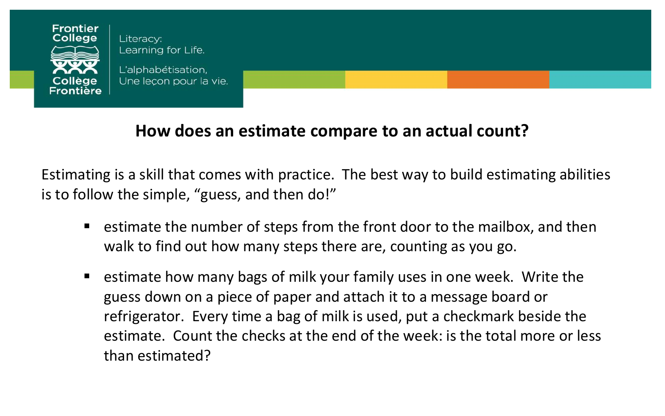

Literacy: Learning for Life.

L'alphabétisation. Une lecon pour la vie.

## **How does an estimate compare to an actual count?**

Estimating is a skill that comes with practice. The best way to build estimating abilities is to follow the simple, "guess, and then do!"

- estimate the number of steps from the front door to the mailbox, and then walk to find out how many steps there are, counting as you go.
- estimate how many bags of milk your family uses in one week. Write the guess down on a piece of paper and attach it to a message board or refrigerator. Every time a bag of milk is used, put a checkmark beside the estimate. Count the checks at the end of the week: is the total more or less than estimated?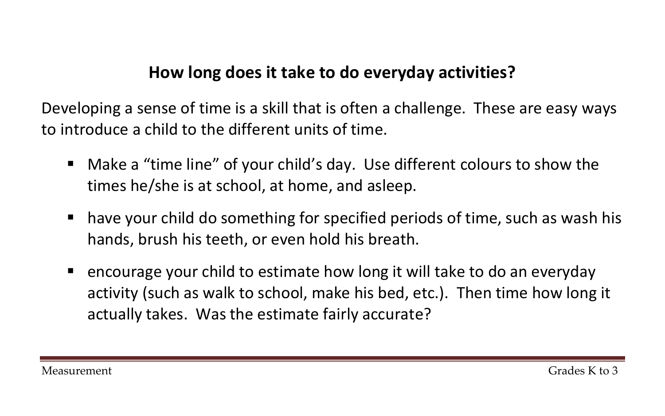## **How long does it take to do everyday activities?**

Developing a sense of time is a skill that is often a challenge. These are easy ways to introduce a child to the different units of time.

- Make a "time line" of your child's day. Use different colours to show the times he/she is at school, at home, and asleep.
- have your child do something for specified periods of time, such as wash his hands, brush his teeth, or even hold his breath.
- encourage your child to estimate how long it will take to do an everyday activity (such as walk to school, make his bed, etc.). Then time how long it actually takes. Was the estimate fairly accurate?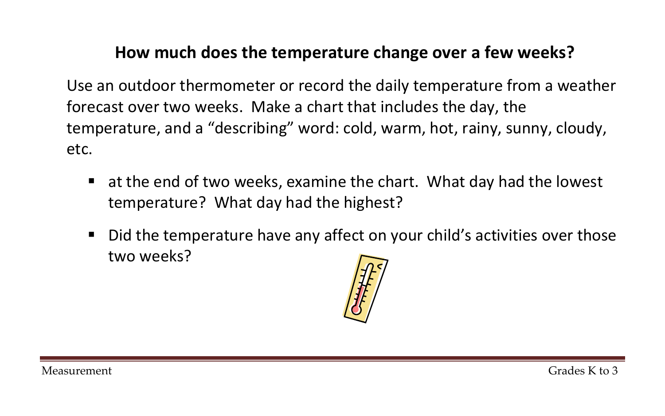## **How much does the temperature change over a few weeks?**

Use an outdoor thermometer or record the daily temperature from a weather forecast over two weeks. Make a chart that includes the day, the temperature, and a "describing" word: cold, warm, hot, rainy, sunny, cloudy, etc.

- at the end of two weeks, examine the chart. What day had the lowest temperature? What day had the highest?
- Did the temperature have any affect on your child's activities over those two weeks?